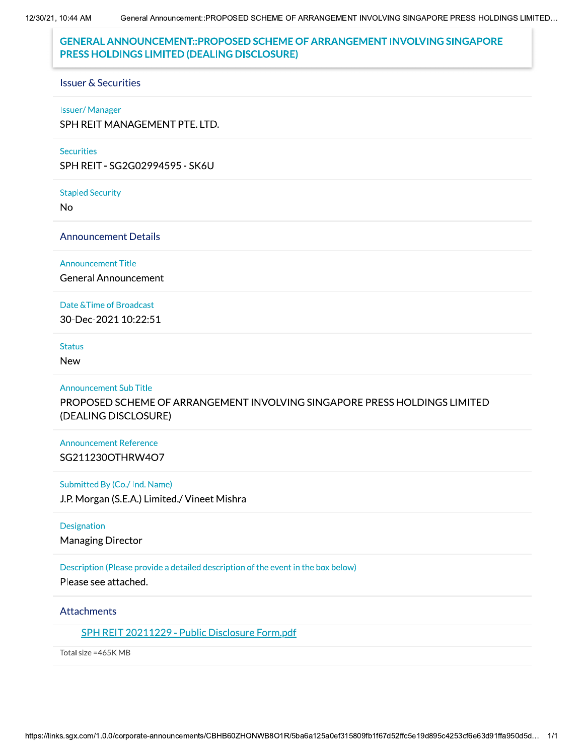12/30/21, 10:44 AM General Announcement::PROPOSED SCHEME OF ARRANGEMENT INVOLVING SINGAPORE PRESS HOLDINGS LIMITED...

# **GENERAL ANNOUNCEMENT::PROPOSED SCHEME OF ARRANGEMENT INVOLVING SINGAPORE** PRESS HOLDINGS LIMITED (DEALING DISCLOSURE)

#### **Issuer & Securities**

#### **Issuer/Manager**

SPH REIT MANAGEMENT PTE. LTD.

#### **Securities**

SPH REIT - SG2G02994595 - SK6U

#### **Stapled Security**

**No** 

## **Announcement Details**

#### **Announcement Title**

**General Announcement** 

### Date & Time of Broadcast

30-Dec-2021 10:22:51

### **Status**

**New** 

### **Announcement Sub Title**

PROPOSED SCHEME OF ARRANGEMENT INVOLVING SINGAPORE PRESS HOLDINGS LIMITED (DEALING DISCLOSURE)

## **Announcement Reference** SG211230OTHRW4O7

### Submitted By (Co./ Ind. Name)

J.P. Morgan (S.E.A.) Limited./ Vineet Mishra

### Designation

**Managing Director** 

## Description (Please provide a detailed description of the event in the box below)

Please see attached.

### **Attachments**

SPH REIT 20211229 - Public Disclosure Form.pdf

Total size = 465K MB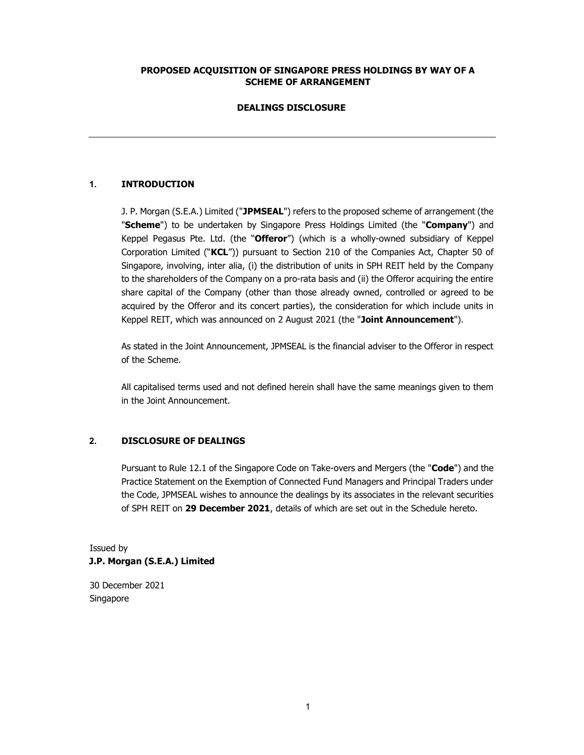## PROPOSED ACQUISITION OF SINGAPORE PRESS HOLDINGS BY WAY OF A SCHEME OF ARRANGEMENT

## DEALINGS DISCLOSURE

## 1. INTRODUCTION

J. P. Morgan (S.E.A.) Limited ("JPMSEAL") refers to the proposed scheme of arrangement (the "Scheme") to be undertaken by Singapore Press Holdings Limited (the "Company") and Keppel Pegasus Pte. Ltd. (the "Offeror") (which is a wholly-owned subsidiary of Keppel Corporation Limited ("KCL")) pursuant to Section 210 of the Companies Act, Chapter 50 of Singapore, involving, inter alia, (i) the distribution of units in SPH REIT held by the Company to the shareholders of the Company on a pro-rata basis and (ii) the Offeror acquiring the entire share capital of the Company (other than those already owned, controlled or agreed to be acquired by the Offeror and its concert parties), the consideration for which include units in Keppel REIT, which was announced on 2 August 2021 (the "Joint Announcement").

As stated in the Joint Announcement, JPMSEAL is the financial adviser to the Offeror in respect of the Scheme.

All capitalised terms used and not defined herein shall have the same meanings given to them in the Joint Announcement.

## 2. DISCLOSURE OF DEALINGS

Pursuant to Rule 12.1 of the Singapore Code on Take-overs and Mergers (the "Code") and the Practice Statement on the Exemption of Connected Fund Managers and Principal Traders under the Code, JPMSEAL wishes to announce the dealings by its associates in the relevant securities of SPH REIT on 29 December 2021, details of which are set out in the Schedule hereto.

# Issued by J.P. Morgan (S.E.A.) Limited

30 December 2021 Singapore